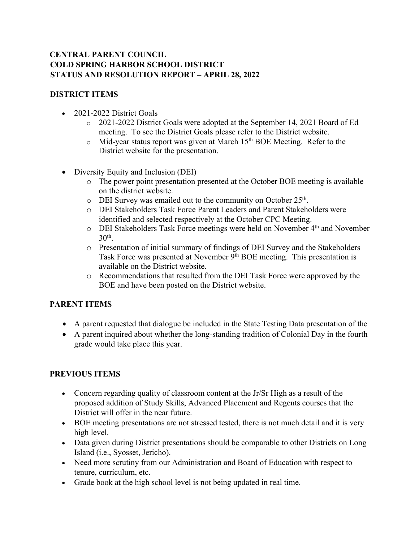## **CENTRAL PARENT COUNCIL COLD SPRING HARBOR SCHOOL DISTRICT STATUS AND RESOLUTION REPORT – APRIL 28, 2022**

## **DISTRICT ITEMS**

- 2021-2022 District Goals
	- o 2021-2022 District Goals were adopted at the September 14, 2021 Board of Ed meeting. To see the District Goals please refer to the District website.
	- $\circ$  Mid-year status report was given at March 15<sup>th</sup> BOE Meeting. Refer to the District website for the presentation.
- Diversity Equity and Inclusion (DEI)
	- o The power point presentation presented at the October BOE meeting is available on the district website.
	- o DEI Survey was emailed out to the community on October 25<sup>th</sup>.
	- o DEI Stakeholders Task Force Parent Leaders and Parent Stakeholders were identified and selected respectively at the October CPC Meeting.
	- o DEI Stakeholders Task Force meetings were held on November 4th and November  $30<sup>th</sup>$ .
	- o Presentation of initial summary of findings of DEI Survey and the Stakeholders Task Force was presented at November 9<sup>th</sup> BOE meeting. This presentation is available on the District website.
	- o Recommendations that resulted from the DEI Task Force were approved by the BOE and have been posted on the District website.

## **PARENT ITEMS**

- A parent requested that dialogue be included in the State Testing Data presentation of the
- A parent inquired about whether the long-standing tradition of Colonial Day in the fourth grade would take place this year.

## **PREVIOUS ITEMS**

- Concern regarding quality of classroom content at the Jr/Sr High as a result of the proposed addition of Study Skills, Advanced Placement and Regents courses that the District will offer in the near future.
- BOE meeting presentations are not stressed tested, there is not much detail and it is very high level.
- Data given during District presentations should be comparable to other Districts on Long Island (i.e., Syosset, Jericho).
- Need more scrutiny from our Administration and Board of Education with respect to tenure, curriculum, etc.
- Grade book at the high school level is not being updated in real time.